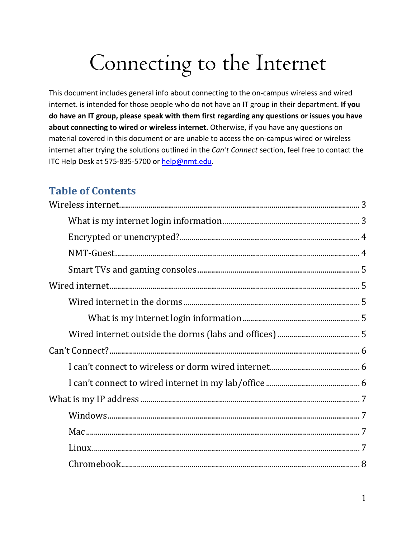# Connecting to the Internet

This document includes general info about connecting to the on-campus wireless and wired internet. is intended for those people who do not have an IT group in their department. **If you do have an IT group, please speak with them first regarding any questions or issues you have about connecting to wired or wireless internet.** Otherwise, if you have any questions on material covered in this document or are unable to access the on-campus wired or wireless internet after trying the solutions outlined in the *Can't Connect* section, feel free to contact the ITC Help Desk at 575-835-5700 or [help@nmt.edu.](mailto:help@nmt.edu)

# **Table of Contents**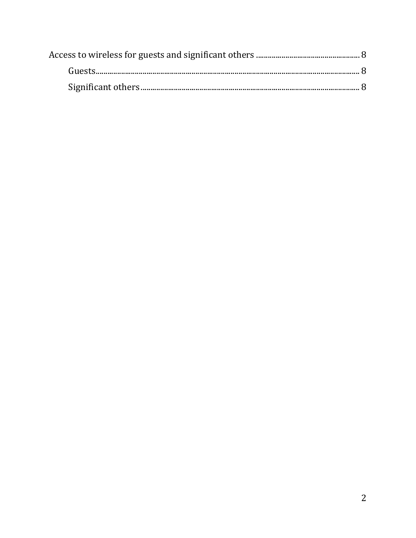<span id="page-1-0"></span>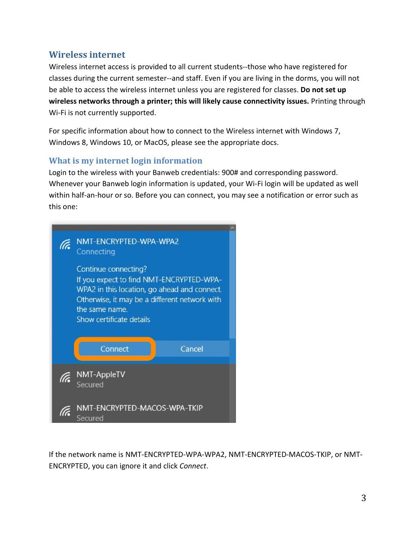# **Wireless internet**

Wireless internet access is provided to all current students--those who have registered for classes during the current semester--and staff. Even if you are living in the dorms, you will not be able to access the wireless internet unless you are registered for classes. **Do not set up wireless networks through a printer; this will likely cause connectivity issues.** Printing through Wi-Fi is not currently supported.

For specific information about how to connect to the Wireless internet with Windows 7, Windows 8, Windows 10, or MacOS, please see the appropriate docs.

# <span id="page-2-0"></span>**What is my internet login information**

Login to the wireless with your Banweb credentials: 900# and corresponding password. Whenever your Banweb login information is updated, your Wi-Fi login will be updated as well within half-an-hour or so. Before you can connect, you may see a notification or error such as this one:

| NMT-ENCRYPTED-WPA-WPA2<br>Connecting                                                                                                                                                                            |  |
|-----------------------------------------------------------------------------------------------------------------------------------------------------------------------------------------------------------------|--|
| Continue connecting?<br>If you expect to find NMT-ENCRYPTED-WPA-<br>WPA2 in this location, go ahead and connect.<br>Otherwise, it may be a different network with<br>the same name.<br>Show certificate details |  |
| Cancel<br>Connect                                                                                                                                                                                               |  |
| NMT-AppleTV<br>Secured                                                                                                                                                                                          |  |
| NMT-ENCRYPTED-MACOS-WPA-TKIP<br>Secured                                                                                                                                                                         |  |

If the network name is NMT-ENCRYPTED-WPA-WPA2, NMT-ENCRYPTED-MACOS-TKIP, or NMT-ENCRYPTED, you can ignore it and click *Connect*.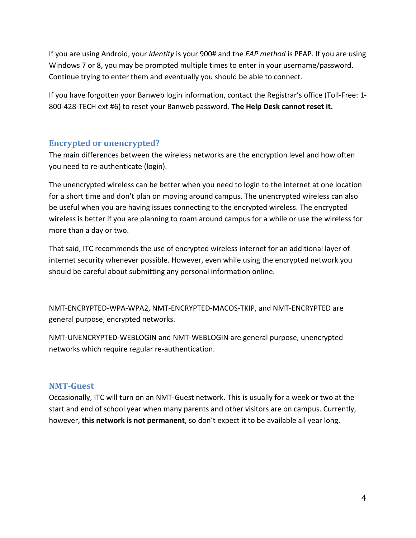If you are using Android, your *Identity* is your 900# and the *EAP method* is PEAP. If you are using Windows 7 or 8, you may be prompted multiple times to enter in your username/password. Continue trying to enter them and eventually you should be able to connect.

If you have forgotten your Banweb login information, contact the Registrar's office (Toll-Free: 1- 800-428-TECH ext #6) to reset your Banweb password. **The Help Desk cannot reset it.**

# <span id="page-3-0"></span>**Encrypted or unencrypted?**

The main differences between the wireless networks are the encryption level and how often you need to re-authenticate (login).

The unencrypted wireless can be better when you need to login to the internet at one location for a short time and don't plan on moving around campus. The unencrypted wireless can also be useful when you are having issues connecting to the encrypted wireless. The encrypted wireless is better if you are planning to roam around campus for a while or use the wireless for more than a day or two.

That said, ITC recommends the use of encrypted wireless internet for an additional layer of internet security whenever possible. However, even while using the encrypted network you should be careful about submitting any personal information online.

NMT-ENCRYPTED-WPA-WPA2, NMT-ENCRYPTED-MACOS-TKIP, and NMT-ENCRYPTED are general purpose, encrypted networks.

NMT-UNENCRYPTED-WEBLOGIN and NMT-WEBLOGIN are general purpose, unencrypted networks which require regular re-authentication.

# <span id="page-3-1"></span>**NMT-Guest**

<span id="page-3-2"></span>Occasionally, ITC will turn on an NMT-Guest network. This is usually for a week or two at the start and end of school year when many parents and other visitors are on campus. Currently, however, **this network is not permanent**, so don't expect it to be available all year long.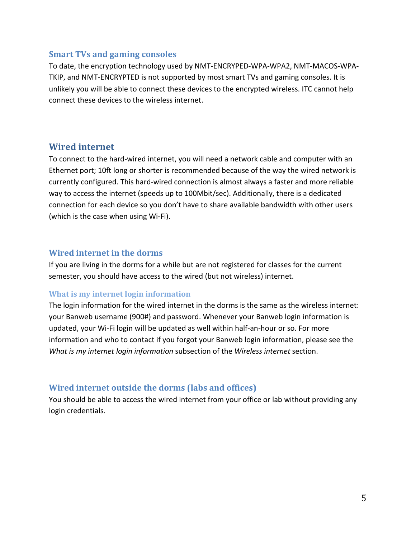#### **Smart TVs and gaming consoles**

To date, the encryption technology used by NMT-ENCRYPED-WPA-WPA2, NMT-MACOS-WPA-TKIP, and NMT-ENCRYPTED is not supported by most smart TVs and gaming consoles. It is unlikely you will be able to connect these devices to the encrypted wireless. ITC cannot help connect these devices to the wireless internet.

#### <span id="page-4-0"></span>**Wired internet**

To connect to the hard-wired internet, you will need a network cable and computer with an Ethernet port; 10ft long or shorter is recommended because of the way the wired network is currently configured. This hard-wired connection is almost always a faster and more reliable way to access the internet (speeds up to 100Mbit/sec). Additionally, there is a dedicated connection for each device so you don't have to share available bandwidth with other users (which is the case when using Wi-Fi).

#### <span id="page-4-1"></span>**Wired internet in the dorms**

If you are living in the dorms for a while but are not registered for classes for the current semester, you should have access to the wired (but not wireless) internet.

#### <span id="page-4-2"></span>**What is my internet login information**

The login information for the wired internet in the dorms is the same as the wireless internet: your Banweb username (900#) and password. Whenever your Banweb login information is updated, your Wi-Fi login will be updated as well within half-an-hour or so. For more information and who to contact if you forgot your Banweb login information, please see the *What is my internet login information* subsection of the *Wireless internet* section.

#### <span id="page-4-3"></span>**Wired internet outside the dorms (labs and offices)**

You should be able to access the wired internet from your office or lab without providing any login credentials.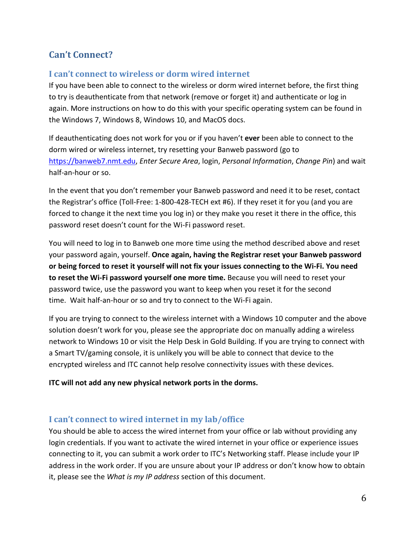# <span id="page-5-0"></span>**Can't Connect?**

# <span id="page-5-1"></span>**I can't connect to wireless or dorm wired internet**

If you have been able to connect to the wireless or dorm wired internet before, the first thing to try is deauthenticate from that network (remove or forget it) and authenticate or log in again. More instructions on how to do this with your specific operating system can be found in the Windows 7, Windows 8, Windows 10, and MacOS docs.

If deauthenticating does not work for you or if you haven't **ever** been able to connect to the dorm wired or wireless internet, try resetting your Banweb password (go to [https://banweb7.nmt.edu,](https://banweb7.nmt.edu/) *Enter Secure Area*, login, *Personal Information*, *Change Pin*) and wait half-an-hour or so.

In the event that you don't remember your Banweb password and need it to be reset, contact the Registrar's office (Toll-Free: 1-800-428-TECH ext #6). If they reset it for you (and you are forced to change it the next time you log in) or they make you reset it there in the office, this password reset doesn't count for the Wi-Fi password reset.

You will need to log in to Banweb one more time using the method described above and reset your password again, yourself. **Once again, having the Registrar reset your Banweb password or being forced to reset it yourself will not fix your issues connecting to the Wi-Fi. You need to reset the Wi-Fi password yourself one more time.** Because you will need to reset your password twice, use the password you want to keep when you reset it for the second time. Wait half-an-hour or so and try to connect to the Wi-Fi again.

If you are trying to connect to the wireless internet with a Windows 10 computer and the above solution doesn't work for you, please see the appropriate doc on manually adding a wireless network to Windows 10 or visit the Help Desk in Gold Building. If you are trying to connect with a Smart TV/gaming console, it is unlikely you will be able to connect that device to the encrypted wireless and ITC cannot help resolve connectivity issues with these devices.

#### **ITC will not add any new physical network ports in the dorms.**

# <span id="page-5-2"></span>**I can't connect to wired internet in my lab/office**

You should be able to access the wired internet from your office or lab without providing any login credentials. If you want to activate the wired internet in your office or experience issues connecting to it, you can submit a work order to ITC's Networking staff. Please include your IP address in the work order. If you are unsure about your IP address or don't know how to obtain it, please see the *What is my IP address* section of this document.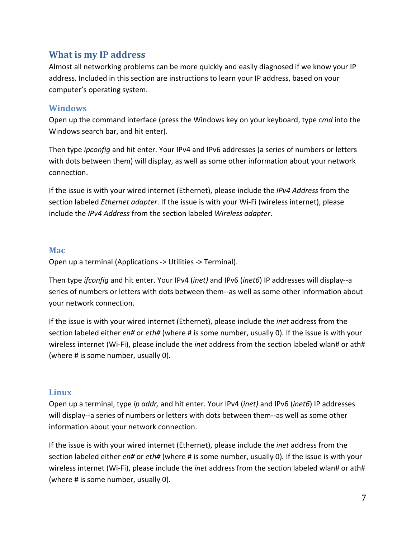# <span id="page-6-0"></span>**What is my IP address**

Almost all networking problems can be more quickly and easily diagnosed if we know your IP address. Included in this section are instructions to learn your IP address, based on your computer's operating system.

#### <span id="page-6-1"></span>**Windows**

Open up the command interface (press the Windows key on your keyboard, type *cmd* into the Windows search bar, and hit enter).

Then type *ipconfig* and hit enter. Your IPv4 and IPv6 addresses (a series of numbers or letters with dots between them) will display, as well as some other information about your network connection.

If the issue is with your wired internet (Ethernet), please include the *IPv4 Address* from the section labeled *Ethernet adapter*. If the issue is with your Wi-Fi (wireless internet), please include the *IPv4 Address* from the section labeled *Wireless adapter*.

#### <span id="page-6-2"></span>**Mac**

Open up a terminal (Applications -> Utilities -> Terminal).

Then type *ifconfig* and hit enter. Your IPv4 (*inet)* and IPv6 (*inet6*) IP addresses will display--a series of numbers or letters with dots between them--as well as some other information about your network connection.

If the issue is with your wired internet (Ethernet), please include the *inet* address from the section labeled either *en#* or *eth#* (where # is some number, usually 0)*.* If the issue is with your wireless internet (Wi-Fi), please include the *inet* address from the section labeled wlan# or ath# (where # is some number, usually 0).

# <span id="page-6-3"></span>**Linux**

Open up a terminal, type *ip addr,* and hit enter. Your IPv4 (*inet)* and IPv6 (*inet6*) IP addresses will display--a series of numbers or letters with dots between them--as well as some other information about your network connection.

If the issue is with your wired internet (Ethernet), please include the *inet* address from the section labeled either *en#* or *eth#* (where # is some number, usually 0)*.* If the issue is with your wireless internet (Wi-Fi), please include the *inet* address from the section labeled wlan# or ath# (where # is some number, usually 0).